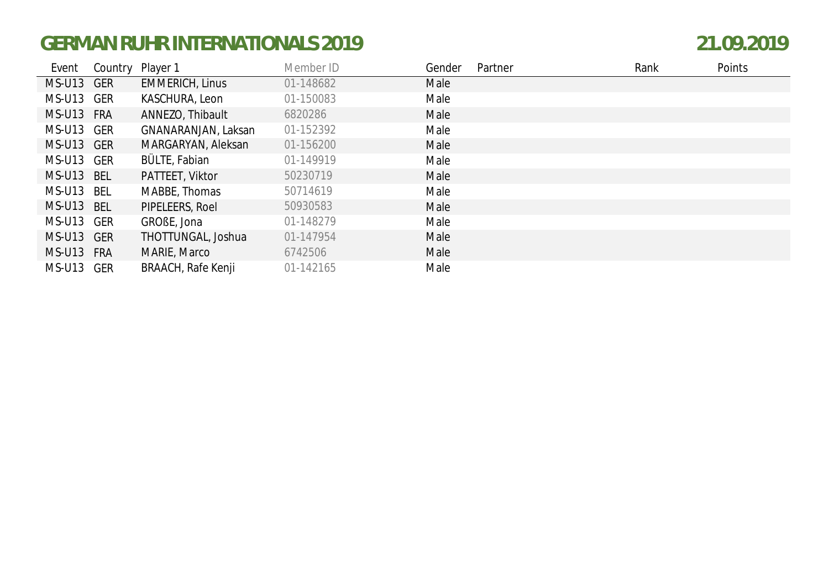| Event      | Country | Player 1               | Member ID | Gender | Partner | Rank | Points |
|------------|---------|------------------------|-----------|--------|---------|------|--------|
| MS-U13 GER |         | <b>EMMERICH, Linus</b> | 01-148682 | Male   |         |      |        |
| MS-U13 GER |         | KASCHURA, Leon         | 01-150083 | Male   |         |      |        |
| MS-U13 FRA |         | ANNEZO, Thibault       | 6820286   | Male   |         |      |        |
| MS-U13 GER |         | GNANARANJAN, Laksan    | 01-152392 | Male   |         |      |        |
| MS-U13 GER |         | MARGARYAN, Aleksan     | 01-156200 | Male   |         |      |        |
| MS-U13 GER |         | BÜLTE, Fabian          | 01-149919 | Male   |         |      |        |
| MS-U13 BEL |         | PATTEET, Viktor        | 50230719  | Male   |         |      |        |
| MS-U13 BEL |         | MABBE, Thomas          | 50714619  | Male   |         |      |        |
| MS-U13 BEL |         | PIPELEERS, Roel        | 50930583  | Male   |         |      |        |
| MS-U13 GER |         | GROBE, Jona            | 01-148279 | Male   |         |      |        |
| MS-U13 GER |         | THOTTUNGAL, Joshua     | 01-147954 | Male   |         |      |        |
| MS-U13 FRA |         | MARIE, Marco           | 6742506   | Male   |         |      |        |
| MS-U13 GER |         | BRAACH, Rafe Kenji     | 01-142165 | Male   |         |      |        |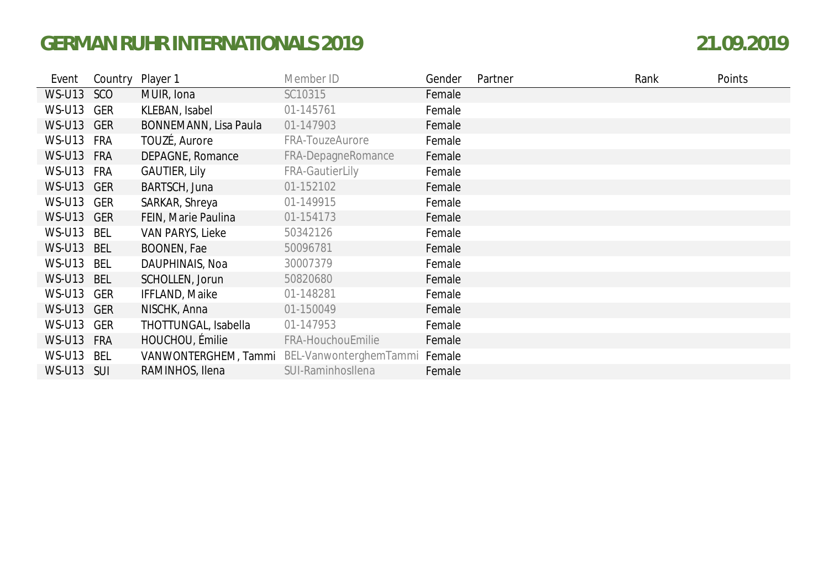| Event         | Country Player 1 |                       | Member ID              | Gender | Partner | Rank | Points |
|---------------|------------------|-----------------------|------------------------|--------|---------|------|--------|
| <b>WS-U13</b> | SCO              | MUIR, Iona            | SC10315                | Female |         |      |        |
| <b>WS-U13</b> | GER              | KLEBAN, Isabel        | 01-145761              | Female |         |      |        |
| WS-U13 GER    |                  | BONNEMANN, Lisa Paula | 01-147903              | Female |         |      |        |
| WS-U13 FRA    |                  | TOUZÉ, Aurore         | FRA-TouzeAurore        | Female |         |      |        |
| <b>WS-U13</b> | <b>FRA</b>       | DEPAGNE, Romance      | FRA-DepagneRomance     | Female |         |      |        |
| WS-U13 FRA    |                  | <b>GAUTIER, Lily</b>  | <b>FRA-GautierLily</b> | Female |         |      |        |
| WS-U13 GER    |                  | BARTSCH, Juna         | 01-152102              | Female |         |      |        |
| WS-U13 GER    |                  | SARKAR, Shreya        | 01-149915              | Female |         |      |        |
| WS-U13 GER    |                  | FEIN, Marie Paulina   | 01-154173              | Female |         |      |        |
| WS-U13 BEL    |                  | VAN PARYS, Lieke      | 50342126               | Female |         |      |        |
| <b>WS-U13</b> | <b>BEL</b>       | <b>BOONEN, Fae</b>    | 50096781               | Female |         |      |        |
| <b>WS-U13</b> | BEL              | DAUPHINAIS, Noa       | 30007379               | Female |         |      |        |
| <b>WS-U13</b> | <b>BEL</b>       | SCHOLLEN, Jorun       | 50820680               | Female |         |      |        |
| <b>WS-U13</b> | GER              | <b>IFFLAND, Maike</b> | 01-148281              | Female |         |      |        |
| WS-U13 GER    |                  | NISCHK, Anna          | 01-150049              | Female |         |      |        |
| <b>WS-U13</b> | GER              | THOTTUNGAL, Isabella  | 01-147953              | Female |         |      |        |
| <b>WS-U13</b> | <b>FRA</b>       | HOUCHOU, Émilie       | FRA-HouchouEmilie      | Female |         |      |        |
| <b>WS-U13</b> | BEL              | VANWONTERGHEM, Tammi  | BEL-VanwonterghemTammi | Female |         |      |        |
| <b>WS-U13</b> | <b>SUI</b>       | RAMINHOS, Ilena       | SUI-Raminhosllena      | Female |         |      |        |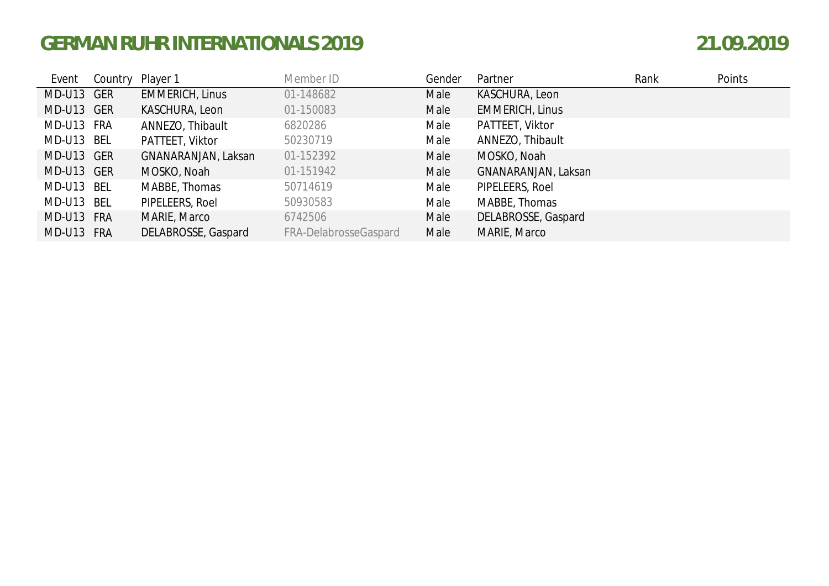| Event      | Country Player 1 |                        | Member ID             | Gender | Partner                | Rank | Points |
|------------|------------------|------------------------|-----------------------|--------|------------------------|------|--------|
| MD-U13 GER |                  | <b>EMMERICH, Linus</b> | 01-148682             | Male   | KASCHURA, Leon         |      |        |
| MD-U13 GER |                  | KASCHURA, Leon         | 01-150083             | Male   | <b>EMMERICH, Linus</b> |      |        |
| MD-U13 FRA |                  | ANNEZO, Thibault       | 6820286               | Male   | PATTEET, Viktor        |      |        |
| MD-U13 BEL |                  | PATTEET, Viktor        | 50230719              | Male   | ANNEZO, Thibault       |      |        |
| MD-U13 GER |                  | GNANARANJAN, Laksan    | 01-152392             | Male   | MOSKO, Noah            |      |        |
| MD-U13 GER |                  | MOSKO, Noah            | 01-151942             | Male   | GNANARANJAN, Laksan    |      |        |
| MD-U13 BEL |                  | MABBE, Thomas          | 50714619              | Male   | PIPELEERS, Roel        |      |        |
| MD-U13 BEL |                  | PIPELEERS, Roel        | 50930583              | Male   | MABBE, Thomas          |      |        |
| MD-U13 FRA |                  | MARIE, Marco           | 6742506               | Male   | DELABROSSE, Gaspard    |      |        |
| MD-U13 FRA |                  | DELABROSSE, Gaspard    | FRA-DelabrosseGaspard | Male   | MARIE, Marco           |      |        |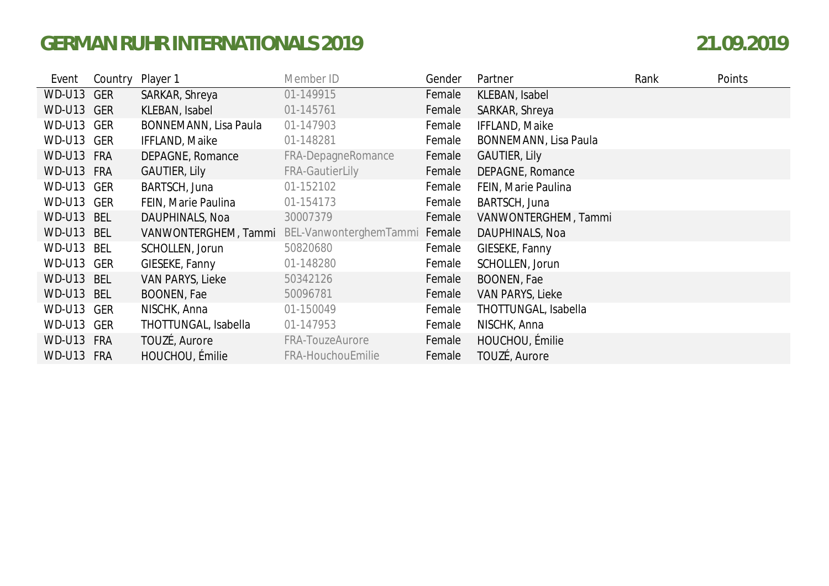| Event         | Country    | Player 1              | Member ID                                          | Gender | Partner               | Rank | Points |
|---------------|------------|-----------------------|----------------------------------------------------|--------|-----------------------|------|--------|
| <b>WD-U13</b> | <b>GER</b> | SARKAR, Shreya        | 01-149915                                          | Female | KLEBAN, Isabel        |      |        |
| WD-U13 GER    |            | KLEBAN, Isabel        | 01-145761                                          | Female | SARKAR, Shreya        |      |        |
| WD-U13 GER    |            | BONNEMANN, Lisa Paula | 01-147903                                          | Female | IFFLAND, Maike        |      |        |
| WD-U13 GER    |            | IFFLAND, Maike        | 01-148281                                          | Female | BONNEMANN, Lisa Paula |      |        |
| WD-U13 FRA    |            | DEPAGNE, Romance      | FRA-DepagneRomance                                 | Female | <b>GAUTIER, Lily</b>  |      |        |
| WD-U13 FRA    |            | <b>GAUTIER, Lily</b>  | <b>FRA-GautierLily</b>                             | Female | DEPAGNE, Romance      |      |        |
| WD-U13 GER    |            | BARTSCH, Juna         | 01-152102                                          | Female | FEIN, Marie Paulina   |      |        |
| WD-U13 GER    |            | FEIN, Marie Paulina   | 01-154173                                          | Female | BARTSCH, Juna         |      |        |
| <b>WD-U13</b> | <b>BEL</b> | DAUPHINALS, Noa       | 30007379                                           | Female | VANWONTERGHEM, Tammi  |      |        |
| <b>WD-U13</b> | BEL        |                       | VANWONTERGHEM, Tammi BEL-VanwonterghemTammi Female |        | DAUPHINALS, Noa       |      |        |
| WD-U13 BEL    |            | SCHOLLEN, Jorun       | 50820680                                           | Female | GIESEKE, Fanny        |      |        |
| WD-U13 GER    |            | GIESEKE, Fanny        | 01-148280                                          | Female | SCHOLLEN, Jorun       |      |        |
| WD-U13 BEL    |            | VAN PARYS, Lieke      | 50342126                                           | Female | BOONEN, Fae           |      |        |
| WD-U13 BEL    |            | BOONEN, Fae           | 50096781                                           | Female | VAN PARYS, Lieke      |      |        |
| WD-U13 GER    |            | NISCHK, Anna          | 01-150049                                          | Female | THOTTUNGAL, Isabella  |      |        |
| WD-U13 GER    |            | THOTTUNGAL, Isabella  | 01-147953                                          | Female | NISCHK, Anna          |      |        |
| WD-U13        | <b>FRA</b> | TOUZÉ, Aurore         | FRA-TouzeAurore                                    | Female | HOUCHOU, Émilie       |      |        |
| WD-U13 FRA    |            | HOUCHOU, Émilie       | FRA-HouchouEmilie                                  | Female | TOUZÉ, Aurore         |      |        |